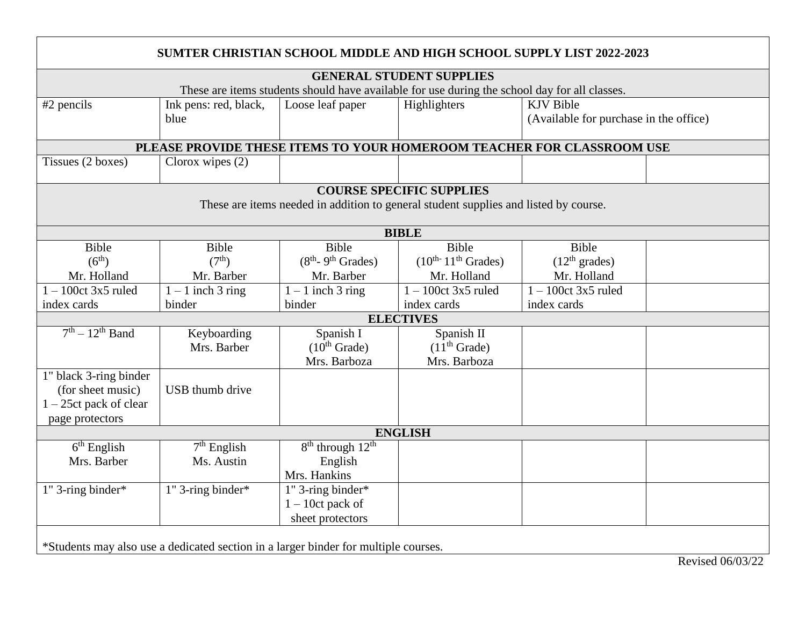| <b>SUMTER CHRISTIAN SCHOOL MIDDLE AND HIGH SCHOOL SUPPLY LIST 2022-2023</b>                   |                               |                            |                                 |                                                            |  |  |  |  |  |  |
|-----------------------------------------------------------------------------------------------|-------------------------------|----------------------------|---------------------------------|------------------------------------------------------------|--|--|--|--|--|--|
|                                                                                               |                               |                            | <b>GENERAL STUDENT SUPPLIES</b> |                                                            |  |  |  |  |  |  |
| These are items students should have available for use during the school day for all classes. |                               |                            |                                 |                                                            |  |  |  |  |  |  |
| #2 pencils                                                                                    | Ink pens: red, black,<br>blue | Loose leaf paper           | Highlighters                    | <b>KJV</b> Bible<br>(Available for purchase in the office) |  |  |  |  |  |  |
| PLEASE PROVIDE THESE ITEMS TO YOUR HOMEROOM TEACHER FOR CLASSROOM USE                         |                               |                            |                                 |                                                            |  |  |  |  |  |  |
| Tissues (2 boxes)                                                                             | Clorox wipes $(2)$            |                            |                                 |                                                            |  |  |  |  |  |  |
|                                                                                               |                               |                            | <b>COURSE SPECIFIC SUPPLIES</b> |                                                            |  |  |  |  |  |  |
| These are items needed in addition to general student supplies and listed by course.          |                               |                            |                                 |                                                            |  |  |  |  |  |  |
| <b>BIBLE</b>                                                                                  |                               |                            |                                 |                                                            |  |  |  |  |  |  |
| Bible                                                                                         | Bible                         | Bible                      | Bible                           | Bible                                                      |  |  |  |  |  |  |
| (6 <sup>th</sup> )                                                                            | (7 <sup>th</sup> )            | $(8th - 9th Grades)$       | $(10^{th}$ - $11^{th}$ Grades)  | (12 <sup>th</sup> grades)                                  |  |  |  |  |  |  |
| Mr. Holland                                                                                   | Mr. Barber                    | Mr. Barber                 | Mr. Holland                     | Mr. Holland                                                |  |  |  |  |  |  |
| $1 - 100$ ct 3x5 ruled                                                                        | $1 - 1$ inch 3 ring           | $1 - 1$ inch 3 ring        | $1 - 100$ ct 3x5 ruled          | $1 - 100$ ct 3x5 ruled                                     |  |  |  |  |  |  |
| index cards                                                                                   | binder                        | binder                     | index cards                     | index cards                                                |  |  |  |  |  |  |
| <b>ELECTIVES</b>                                                                              |                               |                            |                                 |                                                            |  |  |  |  |  |  |
| $7th - 12th$ Band                                                                             | Keyboarding                   | Spanish I                  | Spanish II                      |                                                            |  |  |  |  |  |  |
|                                                                                               | Mrs. Barber                   | $(10^{th}$ Grade)          | (11 <sup>th</sup> Grade)        |                                                            |  |  |  |  |  |  |
|                                                                                               |                               | Mrs. Barboza               | Mrs. Barboza                    |                                                            |  |  |  |  |  |  |
| 1" black 3-ring binder                                                                        |                               |                            |                                 |                                                            |  |  |  |  |  |  |
| (for sheet music)                                                                             | USB thumb drive               |                            |                                 |                                                            |  |  |  |  |  |  |
| $1 - 25$ ct pack of clear                                                                     |                               |                            |                                 |                                                            |  |  |  |  |  |  |
| page protectors                                                                               |                               |                            |                                 |                                                            |  |  |  |  |  |  |
| <b>ENGLISH</b>                                                                                |                               |                            |                                 |                                                            |  |  |  |  |  |  |
| $6th$ English<br>Mrs. Barber                                                                  | $7th$ English<br>Ms. Austin   | $8^{th}$ through $12^{th}$ |                                 |                                                            |  |  |  |  |  |  |
|                                                                                               |                               | English<br>Mrs. Hankins    |                                 |                                                            |  |  |  |  |  |  |
| 1" 3-ring binder*                                                                             | 1" 3-ring binder*             | 1" 3-ring binder*          |                                 |                                                            |  |  |  |  |  |  |
|                                                                                               |                               | $1 - 10$ ct pack of        |                                 |                                                            |  |  |  |  |  |  |
|                                                                                               |                               | sheet protectors           |                                 |                                                            |  |  |  |  |  |  |
|                                                                                               |                               |                            |                                 |                                                            |  |  |  |  |  |  |
| *Students may also use a dedicated section in a larger binder for multiple courses.           |                               |                            |                                 |                                                            |  |  |  |  |  |  |
|                                                                                               |                               |                            |                                 |                                                            |  |  |  |  |  |  |

Revised 06/03/22